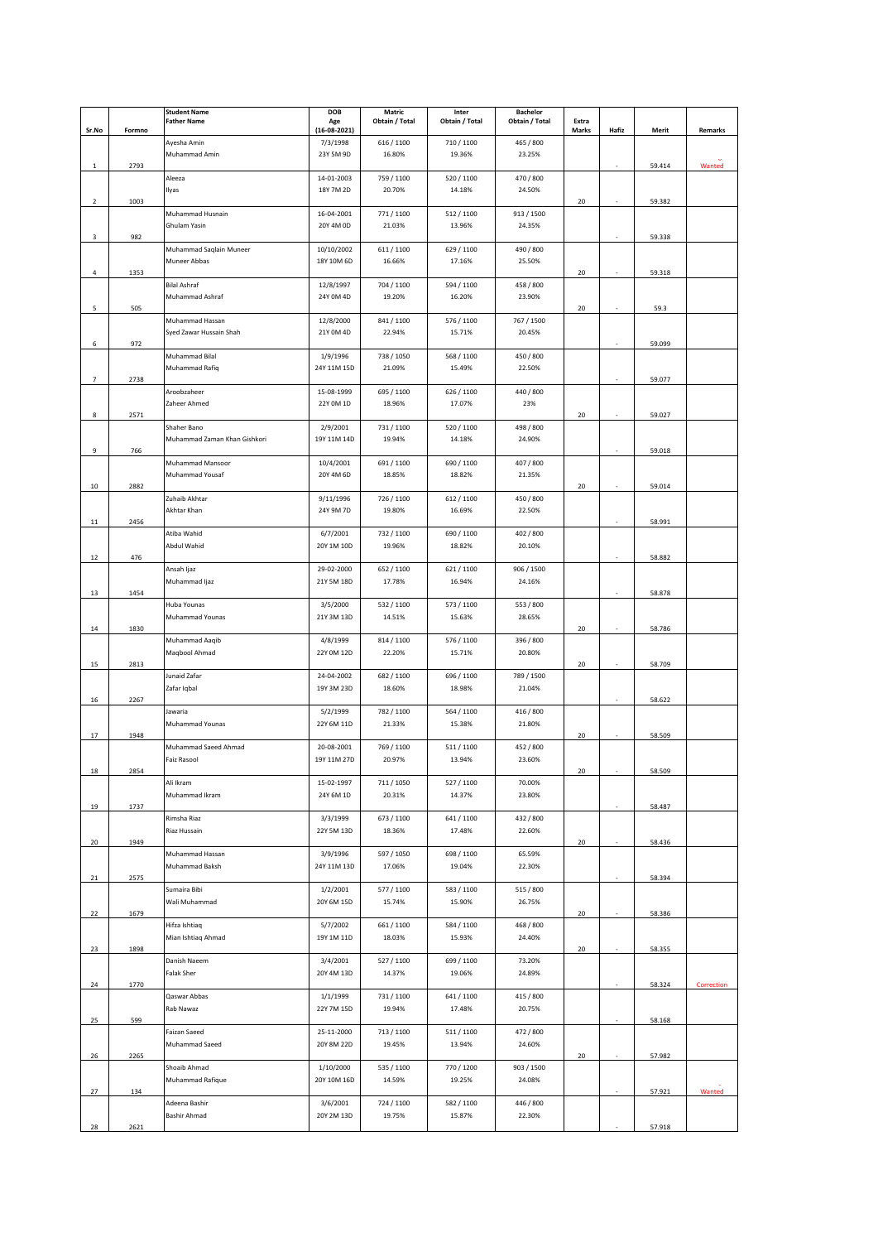|                |        | <b>Student Name</b>          | <b>DOB</b>     | Matric         | Inter          | <b>Bachelor</b> |       |       |        |            |
|----------------|--------|------------------------------|----------------|----------------|----------------|-----------------|-------|-------|--------|------------|
|                |        | <b>Father Name</b>           | Age            | Obtain / Total | Obtain / Total | Obtain / Total  | Extra |       |        |            |
| Sr.No          | Formno |                              | $(16-08-2021)$ |                |                |                 | Marks | Hafiz | Merit  | Remarks    |
|                |        | Ayesha Amin                  | 7/3/1998       | 616 / 1100     | 710/1100       | 465 / 800       |       |       |        |            |
|                |        |                              |                |                |                |                 |       |       |        |            |
|                |        | Muhammad Amin                | 23Y 5M 9D      | 16.80%         | 19.36%         | 23.25%          |       |       |        |            |
| $\mathbf{1}$   | 2793   |                              |                |                |                |                 |       |       | 59.414 | Wanted     |
|                |        | Aleeza                       | 14-01-2003     | 759 / 1100     | 520 / 1100     | 470 / 800       |       |       |        |            |
|                |        | Ilyas                        | 18Y 7M 2D      | 20.70%         | 14.18%         | 24.50%          |       |       |        |            |
| $\overline{2}$ | 1003   |                              |                |                |                |                 | 20    |       | 59.382 |            |
|                |        | Muhammad Husnain             | 16-04-2001     | 771 / 1100     | 512/1100       | 913 / 1500      |       |       |        |            |
|                |        | Ghulam Yasin                 | 20Y 4M 0D      | 21.03%         | 13.96%         | 24.35%          |       |       |        |            |
|                |        |                              |                |                |                |                 |       |       |        |            |
| 3              | 982    |                              |                |                |                |                 |       |       | 59.338 |            |
|                |        | Muhammad Saqlain Muneer      | 10/10/2002     | 611 / 1100     | 629 / 1100     | 490 / 800       |       |       |        |            |
|                |        | Muneer Abbas                 | 18Y 10M 6D     | 16.66%         | 17.16%         | 25.50%          |       |       |        |            |
| 4              | 1353   |                              |                |                |                |                 | 20    |       | 59.318 |            |
|                |        | <b>Bilal Ashraf</b>          | 12/8/1997      | 704 / 1100     | 594 / 1100     | 458 / 800       |       |       |        |            |
|                |        | Muhammad Ashraf              | 24Y 0M 4D      | 19.20%         | 16.20%         | 23.90%          |       |       |        |            |
|                | 505    |                              |                |                |                |                 | 20    |       | 59.3   |            |
| 5              |        |                              |                |                |                |                 |       |       |        |            |
|                |        | Muhammad Hassan              | 12/8/2000      | 841 / 1100     | 576 / 1100     | 767 / 1500      |       |       |        |            |
|                |        | Syed Zawar Hussain Shah      | 21Y 0M 4D      | 22.94%         | 15.71%         | 20.45%          |       |       |        |            |
| 6              | 972    |                              |                |                |                |                 |       |       | 59.099 |            |
|                |        | Muhammad Bilal               | 1/9/1996       | 738 / 1050     | 568 / 1100     | 450 / 800       |       |       |        |            |
|                |        | Muhammad Rafiq               | 24Y 11M 15D    | 21.09%         | 15.49%         | 22.50%          |       |       |        |            |
| 7              | 2738   |                              |                |                |                |                 |       |       | 59.077 |            |
|                |        |                              |                |                |                |                 |       |       |        |            |
|                |        | Aroobzaheer                  | 15-08-1999     | 695 / 1100     | 626 / 1100     | 440 / 800       |       |       |        |            |
|                |        | Zaheer Ahmed                 | 22Y 0M 1D      | 18.96%         | 17.07%         | 23%             |       |       |        |            |
| 8              | 2571   |                              |                |                |                |                 | 20    |       | 59.027 |            |
|                |        | Shaher Bano                  | 2/9/2001       | 731 / 1100     | 520/1100       | 498 / 800       |       |       |        |            |
|                |        | Muhammad Zaman Khan Gishkori | 19Y 11M 14D    | 19.94%         | 14.18%         | 24.90%          |       |       |        |            |
| 9              | 766    |                              |                |                |                |                 |       |       | 59.018 |            |
|                |        |                              |                |                |                |                 |       |       |        |            |
|                |        | Muhammad Mansoor             | 10/4/2001      | 691 / 1100     | 690 / 1100     | 407 / 800       |       |       |        |            |
|                |        | Muhammad Yousaf              | 20Y 4M 6D      | 18.85%         | 18.82%         | 21.35%          |       |       |        |            |
| 10             | 2882   |                              |                |                |                |                 | 20    |       | 59.014 |            |
|                |        | Zuhaib Akhtar                | 9/11/1996      | 726 / 1100     | 612 / 1100     | 450 / 800       |       |       |        |            |
|                |        | Akhtar Khan                  | 24Y 9M 7D      | 19.80%         | 16.69%         | 22.50%          |       |       |        |            |
|                | 2456   |                              |                |                |                |                 |       |       | 58.991 |            |
| 11             |        |                              |                |                |                |                 |       |       |        |            |
|                |        | Atiba Wahid                  | 6/7/2001       | 732 / 1100     | 690 / 1100     | 402 / 800       |       |       |        |            |
|                |        | Abdul Wahid                  | 20Y 1M 10D     | 19.96%         | 18.82%         | 20.10%          |       |       |        |            |
| 12             | 476    |                              |                |                |                |                 |       |       | 58.882 |            |
|                |        | Ansah Ijaz                   | 29-02-2000     | 652 / 1100     | 621/1100       | 906 / 1500      |       |       |        |            |
|                |        | Muhammad Ijaz                | 21Y 5M 18D     | 17.78%         | 16.94%         | 24.16%          |       |       |        |            |
|                |        |                              |                |                |                |                 |       |       |        |            |
| 13             | 1454   |                              |                |                |                |                 |       |       | 58.878 |            |
|                |        | Huba Younas                  | 3/5/2000       | 532 / 1100     | 573 / 1100     | 553 / 800       |       |       |        |            |
|                |        | Muhammad Younas              | 21Y 3M 13D     | 14.51%         | 15.63%         | 28.65%          |       |       |        |            |
| 14             | 1830   |                              |                |                |                |                 | 20    |       | 58.786 |            |
|                |        | Muhammad Aaqib               | 4/8/1999       | 814 / 1100     | 576 / 1100     | 396 / 800       |       |       |        |            |
|                |        | Maqbool Ahmad                | 22Y 0M 12D     | 22.20%         | 15.71%         | 20.80%          |       |       |        |            |
|                |        |                              |                |                |                |                 |       |       |        |            |
| 15             | 2813   |                              |                |                |                |                 | 20    |       | 58.709 |            |
|                |        | Junaid Zafar                 | 24-04-2002     | 682 / 1100     | 696 / 1100     | 789 / 1500      |       |       |        |            |
|                |        | Zafar Iqbal                  | 19Y 3M 23D     | 18.60%         | 18.98%         | 21.04%          |       |       |        |            |
| 16             | 2267   |                              |                |                |                |                 |       |       | 58.622 |            |
|                |        | Jawaria                      | 5/2/1999       | 782 / 1100     | 564 / 1100     | 416 / 800       |       |       |        |            |
|                |        | Muhammad Younas              | 22Y 6M 11D     | 21.33%         | 15.38%         | 21.80%          |       |       |        |            |
|                |        |                              |                |                |                |                 |       |       |        |            |
| 17             | 1948   |                              |                |                |                |                 | 20    |       | 58.509 |            |
|                |        | Muhammad Saeed Ahmad         | 20-08-2001     | 769 / 1100     | 511/1100       | 452 / 800       |       |       |        |            |
|                |        | Faiz Rasool                  | 19Y 11M 27D    | 20.97%         | 13.94%         | 23.60%          |       |       |        |            |
| 18             | 2854   |                              |                |                |                |                 | 20    |       | 58.509 |            |
|                |        | Ali Ikram                    | 15-02-1997     | 711 / 1050     | 527/1100       | 70.00%          |       |       |        |            |
|                |        | Muhammad Ikram               | 24Y 6M 1D      | 20.31%         | 14.37%         | 23.80%          |       |       |        |            |
|                |        |                              |                |                |                |                 |       |       |        |            |
| 19             | 1737   |                              |                |                |                |                 |       |       | 58.487 |            |
|                |        | Rimsha Riaz                  | 3/3/1999       | 673 / 1100     | 641 / 1100     | 432 / 800       |       |       |        |            |
|                |        | Riaz Hussain                 | 22Y 5M 13D     | 18.36%         | 17.48%         | 22.60%          |       |       |        |            |
| 20             | 1949   |                              |                |                |                |                 | 20    |       | 58.436 |            |
|                |        | Muhammad Hassan              | 3/9/1996       | 597 / 1050     | 698 / 1100     | 65.59%          |       |       |        |            |
|                |        | Muhammad Baksh               | 24Y 11M 13D    | 17.06%         | 19.04%         | 22.30%          |       |       |        |            |
|                |        |                              |                |                |                |                 |       |       |        |            |
| 21             | 2575   |                              |                |                |                |                 |       |       | 58.394 |            |
|                |        | Sumaira Bibi                 | 1/2/2001       | 577 / 1100     | 583 / 1100     | 515 / 800       |       |       |        |            |
|                |        | Wali Muhammad                | 20Y 6M 15D     | 15.74%         | 15.90%         | 26.75%          |       |       |        |            |
| 22             | 1679   |                              |                |                |                |                 | 20    |       | 58.386 |            |
|                |        | Hifza Ishtiaq                | 5/7/2002       | 661 / 1100     | 584 / 1100     | 468 / 800       |       |       |        |            |
|                |        | Mian Ishtiaq Ahmad           | 19Y 1M 11D     | 18.03%         | 15.93%         | 24.40%          |       |       |        |            |
|                |        |                              |                |                |                |                 |       |       |        |            |
| 23             | 1898   |                              |                |                |                |                 | 20    |       | 58.355 |            |
|                |        | Danish Naeem                 | 3/4/2001       | 527 / 1100     | 699 / 1100     | 73.20%          |       |       |        |            |
|                |        | Falak Sher                   | 20Y 4M 13D     | 14.37%         | 19.06%         | 24.89%          |       |       |        |            |
| 24             | 1770   |                              |                |                |                |                 |       |       | 58.324 | Correction |
|                |        | Qaswar Abbas                 | 1/1/1999       | 731 / 1100     | 641 / 1100     | 415 / 800       |       |       |        |            |
|                |        | Rab Nawaz                    | 22Y 7M 15D     | 19.94%         | 17.48%         | 20.75%          |       |       |        |            |
|                |        |                              |                |                |                |                 |       |       |        |            |
| 25             | 599    |                              |                |                |                |                 |       |       | 58.168 |            |
|                |        | Faizan Saeed                 | 25-11-2000     | 713 / 1100     | 511/1100       | 472 / 800       |       |       |        |            |
|                |        | Muhammad Saeed               | 20Y 8M 22D     | 19.45%         | 13.94%         | 24.60%          |       |       |        |            |
| 26             | 2265   |                              |                |                |                |                 | 20    |       | 57.982 |            |
|                |        | Shoaib Ahmad                 | 1/10/2000      | 535 / 1100     | 770 / 1200     | 903 / 1500      |       |       |        |            |
|                |        | Muhammad Rafique             | 20Y 10M 16D    | 14.59%         | 19.25%         | 24.08%          |       |       |        |            |
|                |        |                              |                |                |                |                 |       |       |        |            |
| 27             | 134    |                              |                |                |                |                 |       |       | 57.921 | Wanted     |
|                |        | Adeena Bashir                | 3/6/2001       | 724 / 1100     | 582 / 1100     | 446 / 800       |       |       |        |            |
|                |        | Bashir Ahmad                 | 20Y 2M 13D     | 19.75%         | 15.87%         | 22.30%          |       |       |        |            |
| 28             | 2621   |                              |                |                |                |                 |       |       | 57.918 |            |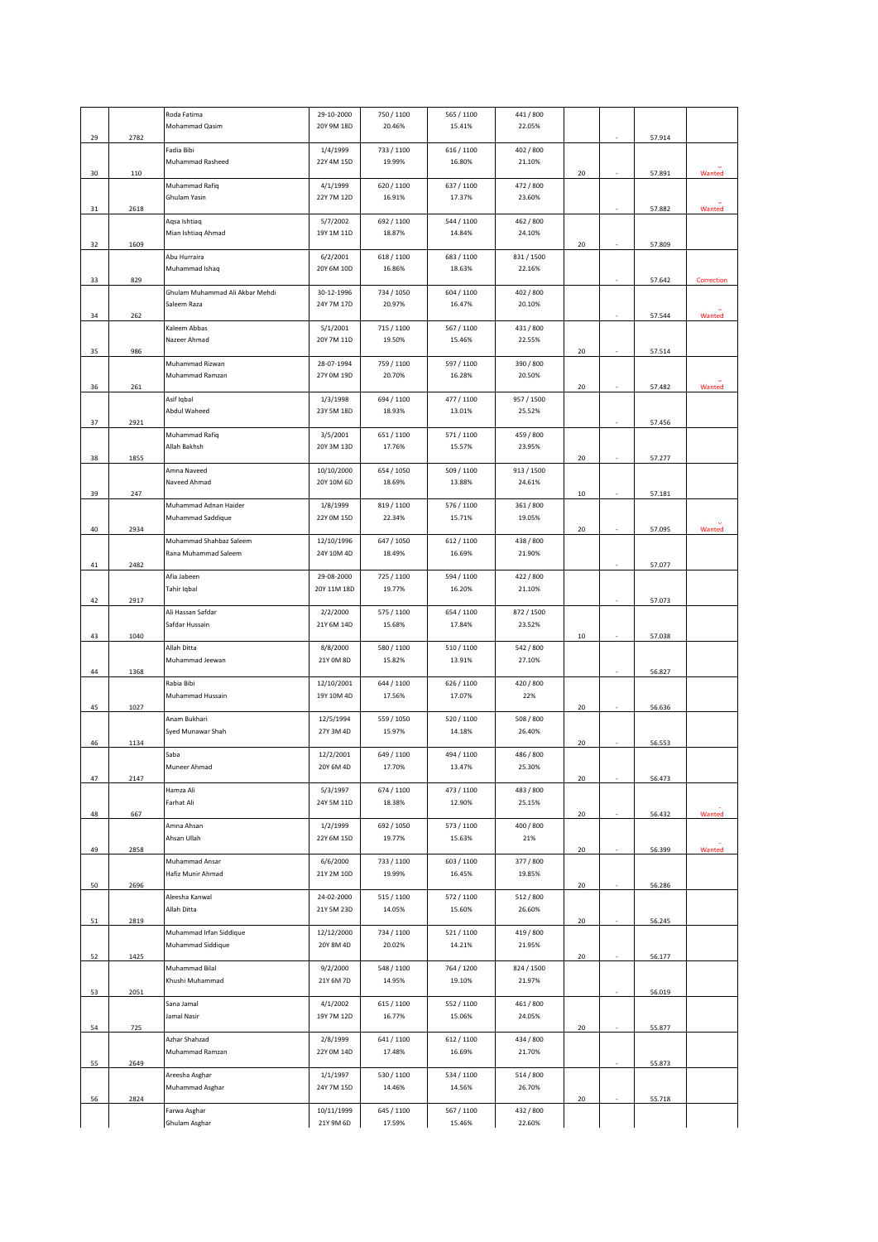|    |      | Roda Fatima                     | 29-10-2000  | 750 / 1100 | 565 / 1100 | 441 / 800  |    |        |            |
|----|------|---------------------------------|-------------|------------|------------|------------|----|--------|------------|
|    |      | Mohammad Qasim                  | 20Y 9M 18D  | 20.46%     | 15.41%     | 22.05%     |    |        |            |
| 29 | 2782 |                                 |             |            |            |            |    | 57.914 |            |
|    |      | Fadia Bibi                      | 1/4/1999    | 733 / 1100 | 616 / 1100 | 402 / 800  |    |        |            |
|    |      | Muhammad Rasheed                | 22Y 4M 15D  | 19.99%     | 16.80%     | 21.10%     |    |        |            |
| 30 | 110  |                                 |             |            |            |            | 20 | 57.891 | Wanted     |
|    |      | Muhammad Rafiq                  | 4/1/1999    | 620 / 1100 | 637/1100   | 472 / 800  |    |        |            |
|    |      | Ghulam Yasin                    | 22Y 7M 12D  | 16.91%     | 17.37%     | 23.60%     |    |        |            |
| 31 | 2618 |                                 |             |            |            |            |    | 57.882 | Wanted     |
|    |      | Aqsa Ishtiaq                    | 5/7/2002    | 692 / 1100 | 544 / 1100 | 462 / 800  |    |        |            |
|    |      | Mian Ishtiaq Ahmad              | 19Y 1M 11D  | 18.87%     | 14.84%     | 24.10%     |    |        |            |
| 32 | 1609 |                                 |             |            |            |            | 20 | 57.809 |            |
|    |      | Abu Hurraira                    | 6/2/2001    | 618 / 1100 | 683 / 1100 | 831/1500   |    |        |            |
|    |      | Muhammad Ishaq                  | 20Y 6M 10D  | 16.86%     | 18.63%     | 22.16%     |    |        |            |
| 33 | 829  |                                 |             |            |            |            |    | 57.642 | Correction |
|    |      | Ghulam Muhammad Ali Akbar Mehdi | 30-12-1996  | 734 / 1050 | 604 / 1100 | 402 / 800  |    |        |            |
|    |      | Saleem Raza                     | 24Y 7M 17D  | 20.97%     | 16.47%     | 20.10%     |    |        |            |
| 34 | 262  |                                 |             |            |            |            |    | 57.544 | Wanted     |
|    |      | Kaleem Abbas                    | 5/1/2001    | 715 / 1100 | 567 / 1100 | 431/800    |    |        |            |
|    |      | Nazeer Ahmad                    | 20Y 7M 11D  | 19.50%     | 15.46%     | 22.55%     |    |        |            |
| 35 | 986  |                                 |             |            |            |            | 20 | 57.514 |            |
|    |      | Muhammad Rizwan                 | 28-07-1994  | 759 / 1100 | 597 / 1100 | 390 / 800  |    |        |            |
|    |      | Muhammad Ramzan                 | 27Y 0M 19D  | 20.70%     | 16.28%     | 20.50%     |    |        |            |
| 36 | 261  |                                 |             |            |            |            | 20 | 57.482 | Wanted     |
|    |      | Asif Iqbal                      | 1/3/1998    | 694 / 1100 | 477 / 1100 | 957 / 1500 |    |        |            |
|    |      | Abdul Waheed                    | 23Y 5M 18D  | 18.93%     | 13.01%     | 25.52%     |    |        |            |
| 37 | 2921 |                                 |             |            |            |            |    | 57.456 |            |
|    |      | Muhammad Rafiq                  | 3/5/2001    | 651 / 1100 | 571/1100   | 459 / 800  |    |        |            |
|    |      | Allah Bakhsh                    | 20Y 3M 13D  | 17.76%     | 15.57%     | 23.95%     |    |        |            |
|    |      |                                 |             |            |            |            |    |        |            |
| 38 | 1855 |                                 |             |            |            |            | 20 | 57.277 |            |
|    |      | Amna Naveed                     | 10/10/2000  | 654 / 1050 | 509 / 1100 | 913 / 1500 |    |        |            |
|    |      | Naveed Ahmad                    | 20Y 10M 6D  | 18.69%     | 13.88%     | 24.61%     |    |        |            |
| 39 | 247  |                                 |             |            |            |            | 10 | 57.181 |            |
|    |      | Muhammad Adnan Haider           | 1/8/1999    | 819 / 1100 | 576 / 1100 | 361 / 800  |    |        |            |
|    |      | Muhammad Saddique               | 22Y 0M 15D  | 22.34%     | 15.71%     | 19.05%     |    |        |            |
| 40 | 2934 |                                 |             |            |            |            | 20 | 57.095 | Wanted     |
|    |      | Muhammad Shahbaz Saleem         | 12/10/1996  | 647 / 1050 | 612/1100   | 438 / 800  |    |        |            |
|    |      | Rana Muhammad Saleem            | 24Y 10M 4D  | 18.49%     | 16.69%     | 21.90%     |    |        |            |
| 41 | 2482 |                                 |             |            |            |            |    | 57.077 |            |
|    |      | Afia Jabeen                     | 29-08-2000  | 725 / 1100 | 594 / 1100 | 422 / 800  |    |        |            |
|    |      | Tahir Iqbal                     | 20Y 11M 18D | 19.77%     | 16.20%     | 21.10%     |    |        |            |
| 42 | 2917 |                                 |             |            |            |            |    | 57.073 |            |
|    |      | Ali Hassan Safdar               | 2/2/2000    | 575 / 1100 | 654 / 1100 | 872 / 1500 |    |        |            |
|    |      | Safdar Hussain                  | 21Y 6M 14D  | 15.68%     | 17.84%     | 23.52%     |    |        |            |
| 43 | 1040 |                                 |             |            |            |            | 10 | 57.038 |            |
|    |      | Allah Ditta                     | 8/8/2000    | 580 / 1100 | 510 / 1100 | 542 / 800  |    |        |            |
|    |      | Muhammad Jeewan                 | 21Y 0M 8D   | 15.82%     | 13.91%     | 27.10%     |    |        |            |
| 44 | 1368 |                                 |             |            |            |            |    | 56.827 |            |
|    |      | Rabia Bibi                      | 12/10/2001  | 644 / 1100 | 626 / 1100 | 420 / 800  |    |        |            |
|    |      | Muhammad Hussain                | 19Y 10M 4D  | 17.56%     | 17.07%     | 22%        |    |        |            |
| 45 | 1027 |                                 |             |            |            |            | 20 | 56.636 |            |
|    |      | Anam Bukhari                    | 12/5/1994   | 559 / 1050 | 520 / 1100 | 508 / 800  |    |        |            |
|    |      | Syed Munawar Shah               | 27Y 3M 4D   | 15.97%     | 14.18%     | 26.40%     |    |        |            |
| 46 | 1134 |                                 |             |            |            |            | 20 | 56.553 |            |
|    |      | Saba                            | 12/2/2001   | 649 / 1100 | 494 / 1100 | 486 / 800  |    |        |            |
|    |      | Muneer Ahmad                    | 20Y 6M 4D   | 17.70%     | 13.47%     | 25.30%     |    |        |            |
| 47 | 2147 |                                 |             |            |            |            | 20 | 56.473 |            |
|    |      | Hamza Ali                       | 5/3/1997    | 674 / 1100 | 473 / 1100 | 483 / 800  |    |        |            |
|    |      | Farhat Ali                      | 24Y 5M 11D  | 18.38%     | 12.90%     | 25.15%     |    |        |            |
| 48 | 667  |                                 |             |            |            |            | 20 | 56.432 | Wanted     |
|    |      | Amna Ahsan                      | 1/2/1999    | 692 / 1050 | 573 / 1100 | 400 / 800  |    |        |            |
|    |      | Ahsan Ullah                     | 22Y 6M 15D  | 19.77%     | 15.63%     | 21%        |    |        |            |
| 49 | 2858 |                                 |             |            |            |            | 20 | 56.399 | Wanted     |
|    |      | Muhammad Ansar                  | 6/6/2000    | 733 / 1100 | 603 / 1100 | 377 / 800  |    |        |            |
|    |      | Hafiz Munir Ahmad               | 21Y 2M 10D  | 19.99%     | 16.45%     | 19.85%     |    |        |            |
| 50 | 2696 |                                 |             |            |            |            | 20 | 56.286 |            |
|    |      | Aleesha Kanwal                  | 24-02-2000  | 515 / 1100 | 572 / 1100 | 512 / 800  |    |        |            |
|    |      | Allah Ditta                     | 21Y 5M 23D  | 14.05%     | 15.60%     | 26.60%     |    |        |            |
| 51 | 2819 |                                 |             |            |            |            | 20 | 56.245 |            |
|    |      | Muhammad Irfan Siddique         | 12/12/2000  | 734 / 1100 | 521/1100   | 419 / 800  |    |        |            |
|    |      | Muhammad Siddique               | 20Y 8M 4D   | 20.02%     | 14.21%     | 21.95%     |    |        |            |
| 52 | 1425 |                                 |             |            |            |            | 20 | 56.177 |            |
|    |      | Muhammad Bilal                  | 9/2/2000    | 548 / 1100 | 764 / 1200 | 824 / 1500 |    |        |            |
|    |      | Khushi Muhammad                 | 21Y 6M 7D   | 14.95%     | 19.10%     | 21.97%     |    |        |            |
| 53 | 2051 |                                 |             |            |            |            |    | 56.019 |            |
|    |      | Sana Jamal                      | 4/1/2002    | 615 / 1100 | 552 / 1100 | 461 / 800  |    |        |            |
|    |      | Jamal Nasir                     | 19Y 7M 12D  | 16.77%     | 15.06%     | 24.05%     |    |        |            |
| 54 | 725  |                                 |             |            |            |            | 20 | 55.877 |            |
|    |      | Azhar Shahzad                   | 2/8/1999    | 641 / 1100 | 612/1100   | 434 / 800  |    |        |            |
|    |      | Muhammad Ramzan                 | 22Y 0M 14D  | 17.48%     | 16.69%     | 21.70%     |    |        |            |
| 55 | 2649 |                                 |             |            |            |            |    | 55.873 |            |
|    |      | Areesha Asghar                  | 1/1/1997    | 530 / 1100 | 534 / 1100 | 514 / 800  |    |        |            |
|    |      | Muhammad Asghar                 | 24Y 7M 15D  | 14.46%     | 14.56%     | 26.70%     |    |        |            |
| 56 | 2824 |                                 |             |            |            |            | 20 | 55.718 |            |
|    |      | Farwa Asghar                    | 10/11/1999  | 645 / 1100 | 567 / 1100 | 432 / 800  |    |        |            |
|    |      | Ghulam Asghar                   | 21Y 9M 6D   | 17.59%     | 15.46%     | 22.60%     |    |        |            |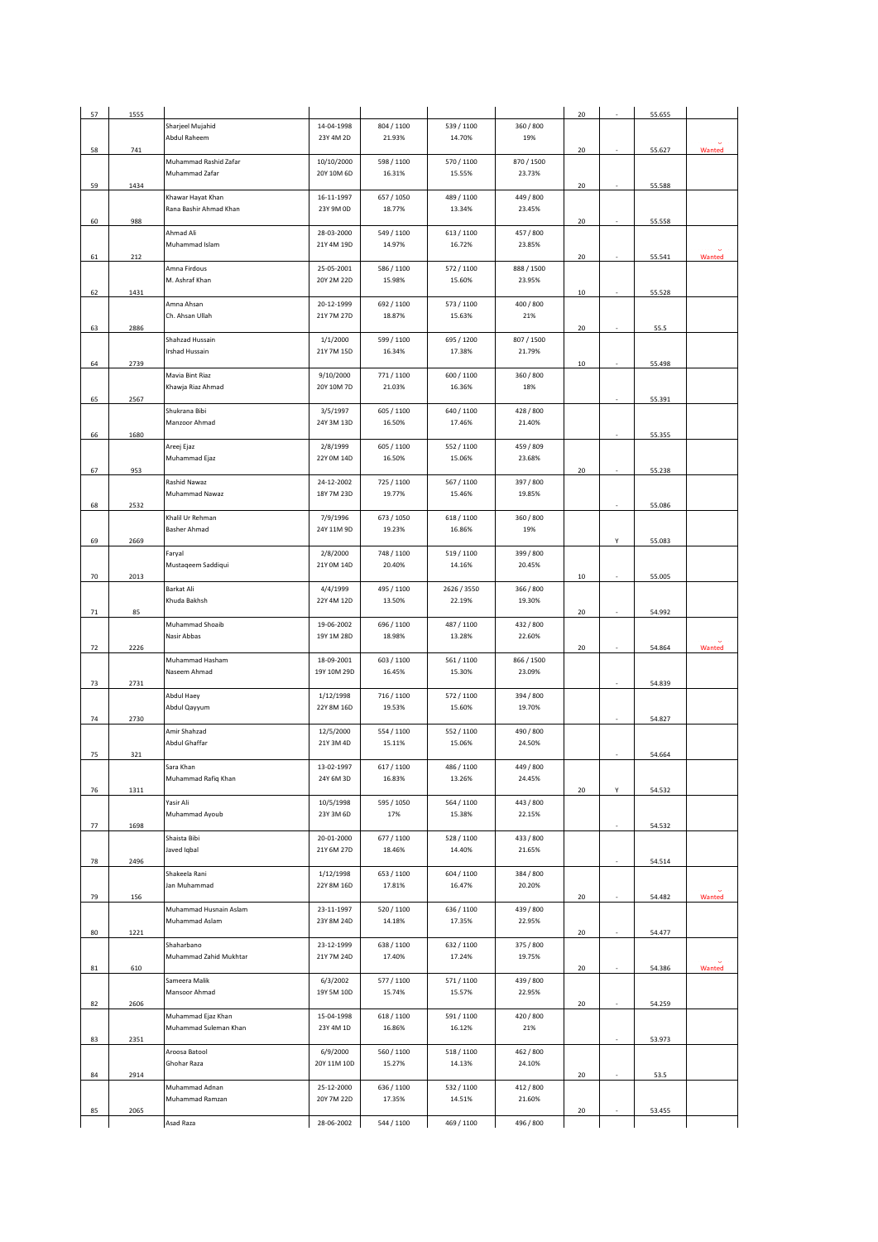| 57 | 1555 |                        |             |            |             |            | 20 |   | 55.655 |        |
|----|------|------------------------|-------------|------------|-------------|------------|----|---|--------|--------|
|    |      | Sharjeel Mujahid       | 14-04-1998  | 804 / 1100 | 539 / 1100  | 360 / 800  |    |   |        |        |
|    |      | Abdul Raheem           | 23Y 4M 2D   | 21.93%     | 14.70%      | 19%        |    |   |        |        |
| 58 | 741  |                        |             |            |             |            | 20 |   | 55.627 | Wanted |
|    |      | Muhammad Rashid Zafar  | 10/10/2000  | 598 / 1100 | 570 / 1100  | 870 / 1500 |    |   |        |        |
|    |      | Muhammad Zafar         | 20Y 10M 6D  | 16.31%     | 15.55%      | 23.73%     |    |   |        |        |
| 59 | 1434 |                        |             |            |             |            | 20 |   | 55.588 |        |
|    |      | Khawar Hayat Khan      | 16-11-1997  | 657 / 1050 | 489 / 1100  | 449 / 800  |    |   |        |        |
|    |      | Rana Bashir Ahmad Khan | 23Y 9M 0D   | 18.77%     | 13.34%      | 23.45%     |    |   |        |        |
| 60 | 988  |                        |             |            |             |            | 20 |   | 55.558 |        |
|    |      | Ahmad Ali              | 28-03-2000  | 549 / 1100 | 613 / 1100  | 457 / 800  |    |   |        |        |
|    |      | Muhammad Islam         | 21Y 4M 19D  | 14.97%     | 16.72%      | 23.85%     |    |   |        |        |
| 61 | 212  |                        |             |            |             |            | 20 |   | 55.541 | Wanted |
|    |      | Amna Firdous           | 25-05-2001  | 586 / 1100 | 572 / 1100  | 888 / 1500 |    |   |        |        |
|    |      | M. Ashraf Khan         | 20Y 2M 22D  | 15.98%     | 15.60%      | 23.95%     |    |   |        |        |
| 62 | 1431 |                        |             |            |             |            | 10 |   | 55.528 |        |
|    |      | Amna Ahsan             | 20-12-1999  | 692 / 1100 | 573 / 1100  | 400 / 800  |    |   |        |        |
|    |      | Ch. Ahsan Ullah        | 21Y 7M 27D  | 18.87%     | 15.63%      | 21%        |    |   |        |        |
| 63 | 2886 |                        |             |            |             |            | 20 |   | 55.5   |        |
|    |      | Shahzad Hussain        | 1/1/2000    | 599 / 1100 | 695 / 1200  | 807 / 1500 |    |   |        |        |
|    |      | Irshad Hussain         | 21Y 7M 15D  | 16.34%     | 17.38%      | 21.79%     |    |   |        |        |
|    |      |                        |             |            |             |            |    |   |        |        |
| 64 | 2739 |                        |             |            |             |            | 10 |   | 55.498 |        |
|    |      | Mavia Bint Riaz        | 9/10/2000   | 771/1100   | 600 / 1100  | 360 / 800  |    |   |        |        |
|    |      | Khawja Riaz Ahmad      | 20Y 10M 7D  | 21.03%     | 16.36%      | 18%        |    |   |        |        |
| 65 | 2567 |                        |             |            |             |            |    |   | 55.391 |        |
|    |      | Shukrana Bibi          | 3/5/1997    | 605 / 1100 | 640 / 1100  | 428 / 800  |    |   |        |        |
|    |      | Manzoor Ahmad          | 24Y 3M 13D  | 16.50%     | 17.46%      | 21.40%     |    |   |        |        |
| 66 | 1680 |                        |             |            |             |            |    |   | 55.355 |        |
|    |      | Areej Ejaz             | 2/8/1999    | 605 / 1100 | 552/1100    | 459 / 809  |    |   |        |        |
|    |      | Muhammad Ejaz          | 22Y 0M 14D  | 16.50%     | 15.06%      | 23.68%     |    |   |        |        |
| 67 | 953  |                        |             |            |             |            | 20 |   | 55.238 |        |
|    |      | Rashid Nawaz           | 24-12-2002  | 725 / 1100 | 567 / 1100  | 397 / 800  |    |   |        |        |
|    |      | Muhammad Nawaz         | 18Y 7M 23D  | 19.77%     | 15.46%      | 19.85%     |    |   |        |        |
| 68 | 2532 |                        |             |            |             |            |    |   | 55.086 |        |
|    |      | Khalil Ur Rehman       | 7/9/1996    | 673 / 1050 | 618 / 1100  | 360 / 800  |    |   |        |        |
|    |      | Basher Ahmad           | 24Y 11M 9D  | 19.23%     | 16.86%      | 19%        |    |   |        |        |
| 69 | 2669 |                        |             |            |             |            |    | Y | 55.083 |        |
|    |      | Faryal                 | 2/8/2000    | 748 / 1100 | 519 / 1100  | 399 / 800  |    |   |        |        |
|    |      | Mustaqeem Saddiqui     | 21Y 0M 14D  | 20.40%     | 14.16%      | 20.45%     |    |   |        |        |
| 70 | 2013 |                        |             |            |             |            | 10 |   | 55.005 |        |
|    |      | Barkat Ali             | 4/4/1999    | 495 / 1100 | 2626 / 3550 | 366 / 800  |    |   |        |        |
|    |      | Khuda Bakhsh           | 22Y 4M 12D  | 13.50%     | 22.19%      | 19.30%     |    |   |        |        |
| 71 | 85   |                        |             |            |             |            | 20 |   | 54.992 |        |
|    |      | Muhammad Shoaib        | 19-06-2002  | 696 / 1100 | 487 / 1100  | 432 / 800  |    |   |        |        |
|    |      | Nasir Abbas            | 19Y 1M 28D  | 18.98%     | 13.28%      | 22.60%     |    |   |        |        |
| 72 | 2226 |                        |             |            |             |            | 20 |   | 54.864 | Wanted |
|    |      | Muhammad Hasham        | 18-09-2001  | 603 / 1100 | 561/1100    | 866 / 1500 |    |   |        |        |
|    |      | Naseem Ahmad           | 19Y 10M 29D | 16.45%     | 15.30%      | 23.09%     |    |   |        |        |
| 73 | 2731 |                        |             |            |             |            |    |   | 54.839 |        |
|    |      | Abdul Haey             | 1/12/1998   | 716 / 1100 | 572 / 1100  | 394 / 800  |    |   |        |        |
|    |      | Abdul Qayyum           | 22Y 8M 16D  | 19.53%     | 15.60%      | 19.70%     |    |   |        |        |
| 74 | 2730 |                        |             |            |             |            |    |   | 54.827 |        |
|    |      | Amir Shahzad           | 12/5/2000   | 554 / 1100 | 552/1100    | 490 / 800  |    |   |        |        |
|    |      | Abdul Ghaffar          | 21Y 3M 4D   | 15.11%     | 15.06%      | 24.50%     |    |   |        |        |
| 75 | 321  |                        |             |            |             |            |    |   | 54.664 |        |
|    |      | Sara Khan              | 13-02-1997  | 617 / 1100 | 486 / 1100  | 449 / 800  |    |   |        |        |
|    |      | Muhammad Rafiq Khan    | 24Y 6M 3D   | 16.83%     | 13.26%      | 24.45%     |    |   |        |        |
| 76 | 1311 |                        |             |            |             |            | 20 |   | 54.532 |        |
|    |      | Yasir Ali              | 10/5/1998   | 595 / 1050 | 564 / 1100  | 443 / 800  |    |   |        |        |
|    |      | Muhammad Ayoub         | 23Y 3M 6D   | 17%        | 15.38%      | 22.15%     |    |   |        |        |
| 77 | 1698 |                        |             |            |             |            |    |   |        |        |
|    |      | Shaista Bibi           | 20-01-2000  | 677 / 1100 | 528 / 1100  | 433 / 800  |    |   | 54.532 |        |
|    |      |                        |             |            |             |            |    |   |        |        |
|    |      | Javed Iqbal            | 21Y 6M 27D  | 18.46%     | 14.40%      | 21.65%     |    |   |        |        |
| 78 |      |                        |             |            |             |            |    |   |        |        |
|    | 2496 |                        |             |            |             |            |    |   | 54.514 |        |
|    |      | Shakeela Rani          | 1/12/1998   | 653 / 1100 | 604 / 1100  | 384 / 800  |    |   |        |        |
|    |      | Jan Muhammad           | 22Y 8M 16D  | 17.81%     | 16.47%      | 20.20%     |    |   |        |        |
| 79 | 156  |                        |             |            |             |            | 20 |   | 54.482 | Wanted |
|    |      | Muhammad Husnain Aslam | 23-11-1997  | 520 / 1100 | 636 / 1100  | 439 / 800  |    |   |        |        |
|    |      | Muhammad Aslam         | 23Y 8M 24D  | 14.18%     | 17.35%      | 22.95%     |    |   |        |        |
| 80 | 1221 |                        |             |            |             |            | 20 |   | 54.477 |        |
|    |      | Shaharbano             | 23-12-1999  | 638 / 1100 | 632/1100    | 375 / 800  |    |   |        |        |
|    |      | Muhammad Zahid Mukhtar | 21Y 7M 24D  | 17.40%     | 17.24%      | 19.75%     |    |   |        |        |
| 81 | 610  |                        |             |            |             |            | 20 |   | 54.386 | Wanted |
|    |      | Sameera Malik          | 6/3/2002    | 577 / 1100 | 571/1100    | 439 / 800  |    |   |        |        |
|    |      | Mansoor Ahmad          | 19Y 5M 10D  | 15.74%     | 15.57%      | 22.95%     |    |   |        |        |
| 82 | 2606 |                        |             |            |             |            | 20 |   | 54.259 |        |
|    |      | Muhammad Ejaz Khan     | 15-04-1998  | 618 / 1100 | 591/1100    | 420 / 800  |    |   |        |        |
|    |      | Muhammad Suleman Khan  | 23Y 4M 1D   | 16.86%     | 16.12%      | 21%        |    |   |        |        |
| 83 | 2351 |                        |             |            |             |            |    |   | 53.973 |        |
|    |      | Aroosa Batool          | 6/9/2000    | 560 / 1100 | 518/1100    | 462 / 800  |    |   |        |        |
|    |      | Ghohar Raza            | 20Y 11M 10D | 15.27%     | 14.13%      | 24.10%     |    |   |        |        |
| 84 | 2914 |                        |             |            |             |            | 20 |   | 53.5   |        |
|    |      | Muhammad Adnan         | 25-12-2000  | 636 / 1100 | 532/1100    | 412 / 800  |    |   |        |        |
|    |      | Muhammad Ramzan        | 20Y 7M 22D  | 17.35%     | 14.51%      | 21.60%     |    |   |        |        |
| 85 | 2065 | Asad Raza              | 28-06-2002  | 544 / 1100 | 469 / 1100  | 496 / 800  | 20 |   | 53.455 |        |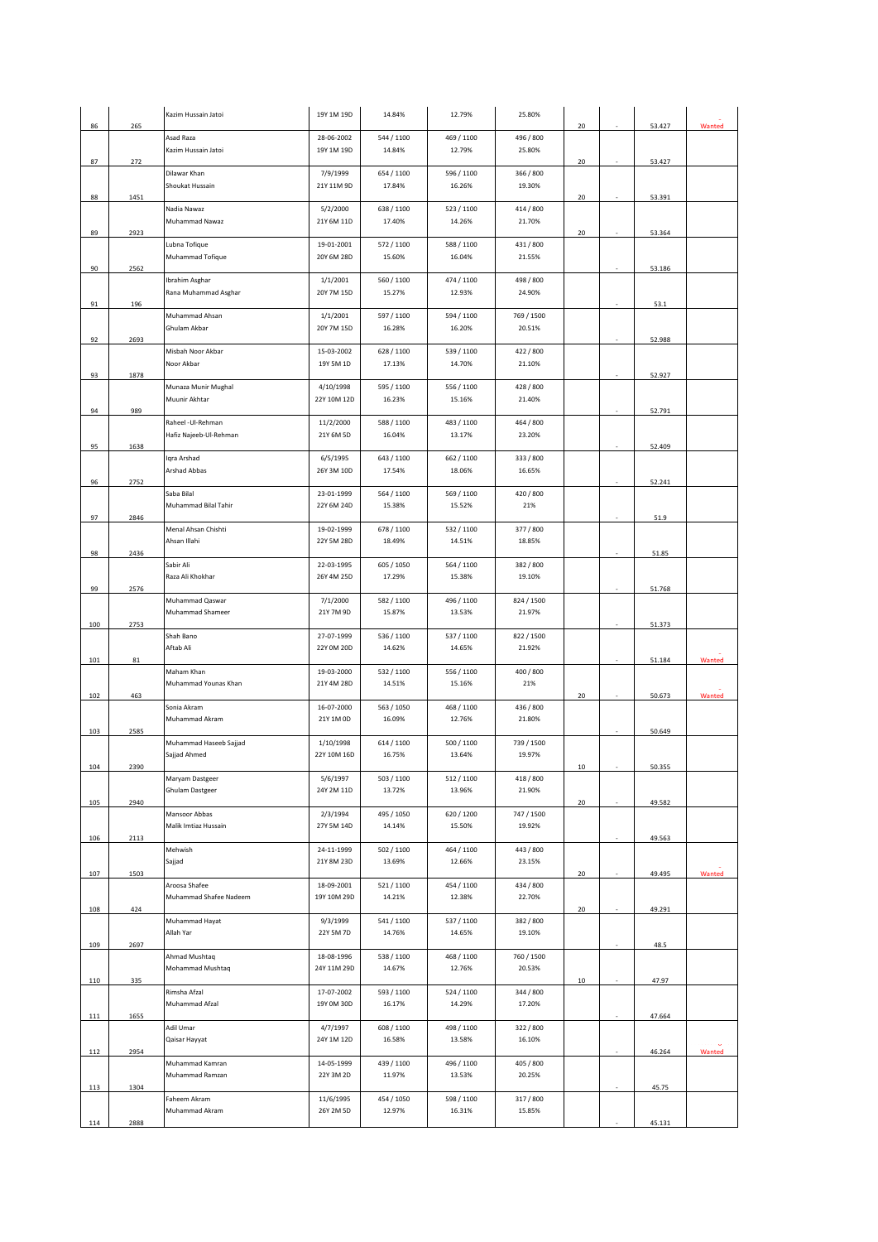| 86  | 265  | Kazim Hussain Jatoi                    | 19Y 1M 19D               | 14.84%               | 12.79%               | 25.80%               | 20              | 53.427   | Wanted |
|-----|------|----------------------------------------|--------------------------|----------------------|----------------------|----------------------|-----------------|----------|--------|
|     |      | Asad Raza                              | 28-06-2002               | 544 / 1100           | 469 / 1100           | 496 / 800            |                 |          |        |
| 87  | 272  | Kazim Hussain Jatoi                    | 19Y 1M 19D               | 14.84%               | 12.79%               | 25.80%               | 20              | 53.427   |        |
|     |      | Dilawar Khan                           | 7/9/1999                 | 654 / 1100           | 596 / 1100           | 366 / 800            |                 |          |        |
|     |      | Shoukat Hussain                        | 21Y 11M 9D               | 17.84%               | 16.26%               | 19.30%               |                 |          |        |
| 88  | 1451 | Nadia Nawaz                            | 5/2/2000                 | 638 / 1100           | 523 / 1100           | 414 / 800            | 20              | 53.391   |        |
|     |      | Muhammad Nawaz                         | 21Y 6M 11D               | 17.40%               | 14.26%               | 21.70%               |                 |          |        |
| 89  | 2923 |                                        | 19-01-2001               |                      |                      | 431/800              | 20              | 53.364   |        |
|     |      | Lubna Tofique<br>Muhammad Tofique      | 20Y 6M 28D               | 572 / 1100<br>15.60% | 588 / 1100<br>16.04% | 21.55%               |                 |          |        |
| 90  | 2562 |                                        |                          |                      |                      |                      |                 | 53.186   |        |
|     |      | Ibrahim Asghar<br>Rana Muhammad Asghar | 1/1/2001<br>20Y 7M 15D   | 560 / 1100<br>15.27% | 474 / 1100<br>12.93% | 498 / 800<br>24.90%  |                 |          |        |
| 91  | 196  |                                        |                          |                      |                      |                      |                 | 53.1     |        |
|     |      | Muhammad Ahsan                         | 1/1/2001                 | 597 / 1100           | 594 / 1100           | 769 / 1500           |                 |          |        |
| 92  | 2693 | Ghulam Akbar                           | 20Y 7M 15D               | 16.28%               | 16.20%               | 20.51%               |                 | 52.988   |        |
|     |      | Misbah Noor Akbar                      | 15-03-2002               | 628 / 1100           | 539 / 1100           | 422 / 800            |                 |          |        |
| 93  | 1878 | Noor Akbar                             | 19Y 5M 1D                | 17.13%               | 14.70%               | 21.10%               |                 | 52.927   |        |
|     |      | Munaza Munir Mughal                    | 4/10/1998                | 595 / 1100           | 556 / 1100           | 428 / 800            |                 |          |        |
|     |      | Muunir Akhtar                          | 22Y 10M 12D              | 16.23%               | 15.16%               | 21.40%               |                 |          |        |
| 94  | 989  | Raheel - Ul-Rehman                     | 11/2/2000                | 588 / 1100           | 483 / 1100           | 464 / 800            |                 | 52.791   |        |
|     |      | Hafiz Najeeb-Ul-Rehman                 | 21Y 6M 5D                | 16.04%               | 13.17%               | 23.20%               |                 |          |        |
| 95  | 1638 | Iqra Arshad                            | 6/5/1995                 | 643 / 1100           | 662 / 1100           | 333 / 800            |                 | 52.409   |        |
|     |      | Arshad Abbas                           | 26Y 3M 10D               | 17.54%               | 18.06%               | 16.65%               |                 |          |        |
| 96  | 2752 |                                        |                          |                      |                      |                      |                 | 52.241   |        |
|     |      | Saba Bilal<br>Muhammad Bilal Tahir     | 23-01-1999<br>22Y 6M 24D | 564 / 1100<br>15.38% | 569 / 1100<br>15.52% | 420 / 800<br>21%     |                 |          |        |
| 97  | 2846 |                                        |                          |                      |                      |                      |                 | $51.9\,$ |        |
|     |      | Menal Ahsan Chishti<br>Ahsan Illahi    | 19-02-1999<br>22Y 5M 28D | 678 / 1100<br>18.49% | 532/1100<br>14.51%   | 377 / 800<br>18.85%  |                 |          |        |
| 98  | 2436 |                                        |                          |                      |                      |                      |                 | 51.85    |        |
|     |      | Sabir Ali                              | 22-03-1995               | 605 / 1050           | 564 / 1100           | 382 / 800            |                 |          |        |
| 99  | 2576 | Raza Ali Khokhar                       | 26Y 4M 25D               | 17.29%               | 15.38%               | 19.10%               |                 | 51.768   |        |
|     |      | Muhammad Qaswar                        | 7/1/2000                 | 582 / 1100           | 496 / 1100           | 824 / 1500           |                 |          |        |
| 100 | 2753 | Muhammad Shameer                       | 21Y 7M 9D                | 15.87%               | 13.53%               | 21.97%               |                 | 51.373   |        |
|     |      | Shah Bano                              | 27-07-1999               | 536 / 1100           | 537 / 1100           | 822 / 1500           |                 |          |        |
|     |      | Aftab Ali                              | 22Y 0M 20D               | 14.62%               | 14.65%               | 21.92%               |                 |          |        |
| 101 | 81   | Maham Khan                             | 19-03-2000               | 532 / 1100           | 556 / 1100           | 400 / 800            |                 | 51.184   | Wanted |
|     |      |                                        |                          |                      |                      |                      |                 |          |        |
|     |      | Muhammad Younas Khan                   | 21Y 4M 28D               | 14.51%               | 15.16%               | 21%                  |                 |          |        |
| 102 | 463  |                                        |                          |                      |                      |                      | 20              | 50.673   | Wanted |
|     |      | Sonia Akram<br>Muhammad Akram          | 16-07-2000<br>21Y 1M 0D  | 563 / 1050<br>16.09% | 468 / 1100<br>12.76% | 436 / 800<br>21.80%  |                 |          |        |
| 103 | 2585 |                                        |                          |                      |                      |                      |                 | 50.649   |        |
|     |      | Muhammad Haseeb Sajjad<br>Sajjad Ahmed | 1/10/1998<br>22Y 10M 16D | 614 / 1100<br>16.75% | 500 / 1100<br>13.64% | 739 / 1500<br>19.97% |                 |          |        |
| 104 | 2390 |                                        |                          |                      |                      |                      | 10 <sup>1</sup> | 50.355   |        |
|     |      | Maryam Dastgeer                        | 5/6/1997                 | 503 / 1100           | 512/1100             | 418 / 800            |                 |          |        |
| 105 | 2940 | Ghulam Dastgeer                        | 24Y 2M 11D               | 13.72%               | 13.96%               | 21.90%               | 20              | 49.582   |        |
|     |      | Mansoor Abbas                          | 2/3/1994                 | 495 / 1050           | 620/1200             | 747 / 1500           |                 |          |        |
| 106 | 2113 | Malik Imtiaz Hussain                   | 27Y 5M 14D               | 14.14%               | 15.50%               | 19.92%               |                 | 49.563   |        |
|     |      | Mehwish                                | 24-11-1999               | 502 / 1100           | 464 / 1100           | 443 / 800            |                 |          |        |
| 107 | 1503 | Sajjad                                 | 21Y 8M 23D               | 13.69%               | 12.66%               | 23.15%               | 20              | 49.495   | Wanted |
|     |      | Aroosa Shafee                          | 18-09-2001               | 521/1100             | 454 / 1100           | 434 / 800            |                 |          |        |
|     |      | Muhammad Shafee Nadeem                 | 19Y 10M 29D              | 14.21%               | 12.38%               | 22.70%               |                 |          |        |
| 108 | 424  | Muhammad Hayat                         | 9/3/1999                 | 541 / 1100           | 537 / 1100           | 382 / 800            | 20              | 49.291   |        |
|     |      | Allah Yar                              | 22Y 5M 7D                | 14.76%               | 14.65%               | 19.10%               |                 |          |        |
| 109 | 2697 | Ahmad Mushtaq                          | 18-08-1996               | 538 / 1100           | 468 / 1100           | 760 / 1500           |                 | 48.5     |        |
|     |      | Mohammad Mushtaq                       | 24Y 11M 29D              | 14.67%               | 12.76%               | 20.53%               |                 |          |        |
| 110 | 335  |                                        |                          |                      |                      |                      | 10              | 47.97    |        |
|     |      | Rimsha Afzal<br>Muhammad Afzal         | 17-07-2002<br>19Y 0M 30D | 593 / 1100<br>16.17% | 524 / 1100<br>14.29% | 344 / 800<br>17.20%  |                 |          |        |
| 111 | 1655 |                                        |                          |                      |                      |                      |                 | 47.664   |        |
|     |      | Adil Umar<br>Qaisar Hayyat             | 4/7/1997<br>24Y 1M 12D   | 608 / 1100<br>16.58% | 498 / 1100<br>13.58% | 322 / 800<br>16.10%  |                 |          |        |
| 112 | 2954 |                                        |                          |                      |                      |                      |                 | 46.264   | Wanted |
|     |      | Muhammad Kamran                        | 14-05-1999               | 439 / 1100           | 496 / 1100           | 405 / 800            |                 |          |        |
| 113 | 1304 | Muhammad Ramzan                        | 22Y 3M 2D                | 11.97%               | 13.53%               | 20.25%               |                 | 45.75    |        |
|     |      | Faheem Akram<br>Muhammad Akram         | 11/6/1995<br>26Y 2M 5D   | 454 / 1050<br>12.97% | 598 / 1100<br>16.31% | 317 / 800<br>15.85%  |                 |          |        |